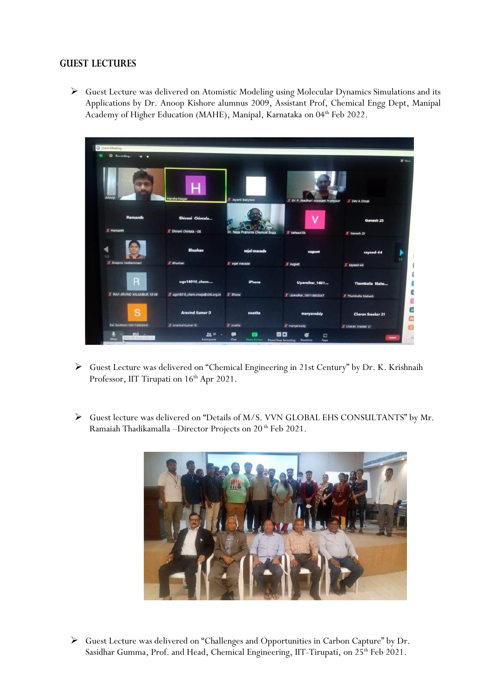## **GUEST LECTURES**

➢ Guest Lecture was delivered on Atomistic Modeling using Molecular Dynamics Simulations and its Applications by Dr. Anoop Kishore alumnus 2009, Assistant Prof, Chemical Engg Dept, Manipal Academy of Higher Education (MAHE), Manipal, Karnataka on 04<sup>th</sup> Feb 2022.



- ➢ Guest Lecture was delivered on "Chemical Engineering in 21st Century" by Dr. K. Krishnaih Professor, IIT Tirupati on  $16<sup>th</sup>$  Apr 2021.
- ➢ Guest lecture was delivered on "Details of M/S. VVN GLOBAL EHS CONSULTANTS" by Mr. Ramaiah Thadikamalla –Director Projects on 20<sup>th</sup> Feb 2021.



➢ Guest Lecture was delivered on "Challenges and Opportunities in Carbon Capture" by Dr. Sasidhar Gumma, Prof. and Head, Chemical Engineering, IIT-Tirupati, on 25<sup>th</sup> Feb 2021.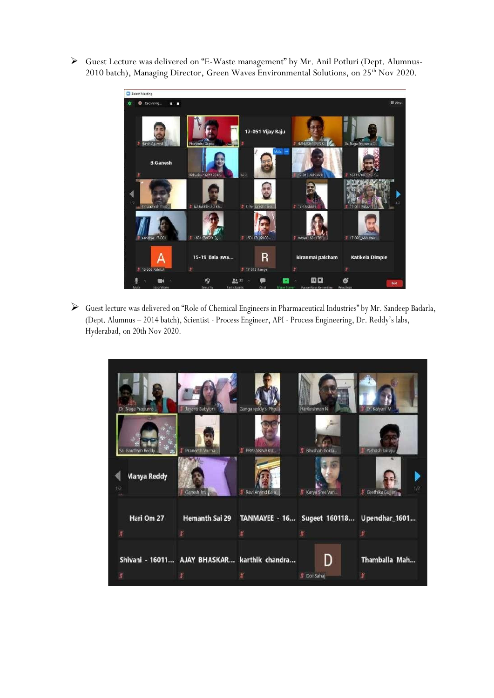➢ Guest Lecture was delivered on "E-Waste management" by Mr. Anil Potluri (Dept. Alumnus-2010 batch), Managing Director, Green Waves Environmental Solutions, on 25<sup>th</sup> Nov 2020.



➢ Guest lecture was delivered on "Role of Chemical Engineers in Pharmaceutical Industries" by Mr. Sandeep Badarla, (Dept. Alumnus – 2014 batch), Scientist - Process Engineer, API - Process Engineering, Dr. Reddy's labs, Hyderabad, on 20th Nov 2020.